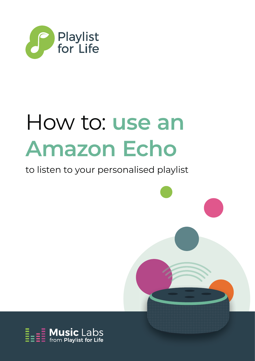

# How to: **use an Amazon Echo**

### to listen to your personalised playlist

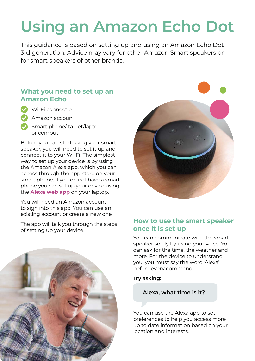## **Using an Amazon Echo Dot**

 3rd generation. Advice may vary for other Amazon Smart speakers or This guidance is based on setting up and using an Amazon Echo Dot for smart speakers of other brands.

#### **What you need to set up an Amazon Echo**

- Wi-Fi connectio
	- ֧֘֝ • Amazon accoun
- Smart phone/ tablet/lapto or comput

Before you can start using your smart speaker, you will need to set it up and connect it to your Wi-Fi. The simplest way to set up your device is by using the Amazon Alexa app, which you can access through the app store on your smart phone. If you do not have a smart phone you can set up your device using the **Alexa web app** on your laptop.

You will need an Amazon account to sign into this app. You can use an existing account or create a new one.

The app will talk you through the steps<br>of setting up your device.





#### **How to use the smart speaker once it is set up**

You can communicate with the smart speaker solely by using your voice. You can ask for the time, the weather and more. For the device to understand you, you must say the word 'Alexa' before every command.

**Try asking:** 

**Alexa, what time is it?** 

You can use the Alexa app to set preferences to help you access more up to date information based on your location and interests.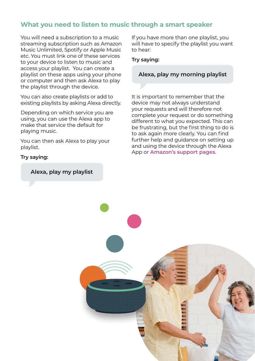#### **What you need to listen to music through a smart speaker**

You will need a subscription to a music streaming subscription such as Amazon Music Unlimited, Spotify or Apple Music etc. You must link one of these services to your device to listen to music and access your playlist. You can create a playlist on these apps using your phone or computer and then ask Alexa to play the playlist through the device.

You can also create playlists or add to existing playlists by asking Alexa directly.

Depending on which service you are using, you can use the Alexa app to make that service the default for playing music.

You can then ask Alexa to play your playlist.

#### **Try saying:**

**Alexa, play my playlist** 

If you have more than one playlist, you will have to specify the playlist you want to hear:

#### **Try saying:**

#### **Alexa, play my morning playlist**

It is important to remember that the device may not always understand your requests and will therefore not complete your request or do something different to what you expected. This can be frustrating, but the first thing to do is to ask again more clearly. You can find further help and guidance on setting up and using the device through the Alexa App or **Amazon's support pages**.

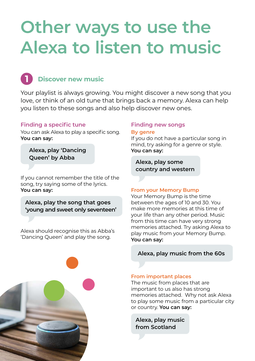## **Other ways to use the Alexa to listen to music**

## **Discover new music**

Your playlist is always growing. You might discover a new song that you love, or think of an old tune that brings back a memory. Alexa can help you listen to these songs and also help discover new ones.

#### **Finding a specific tune**

You can ask Alexa to play a specific song. **You can say:** 

**Alexa, play 'Dancing Queen' by Abba** 

If you cannot remember the title of the song, try saying some of the lyrics. **You can say:** 

**Alexa, play the song that goes 'young and sweet only seventeen'** 

Alexa should recognise this as Abba's 'Dancing Queen' and play the song.

#### **Finding new songs**

#### **By genre**

 mind, try asking for a genre or style. If you do not have a particular song in **You can say:** 

**Alexa, play some country and western** 

#### **From your Memory Bump**

Your Memory Bump is the time between the ages of 10 and 30. You make more memories at this time of your life than any other period. Music from this time can have very strong memories attached. Try asking Alexa to play music from your Memory Bump. **You can say:** 

**Alexa, play music from the 60s** 



#### **From important places**

The music from places that are important to us also has strong memories attached. Why not ask Alexa to play some music from a particular city or country. **You can say:** 

**Alexa, play music from Scotland**